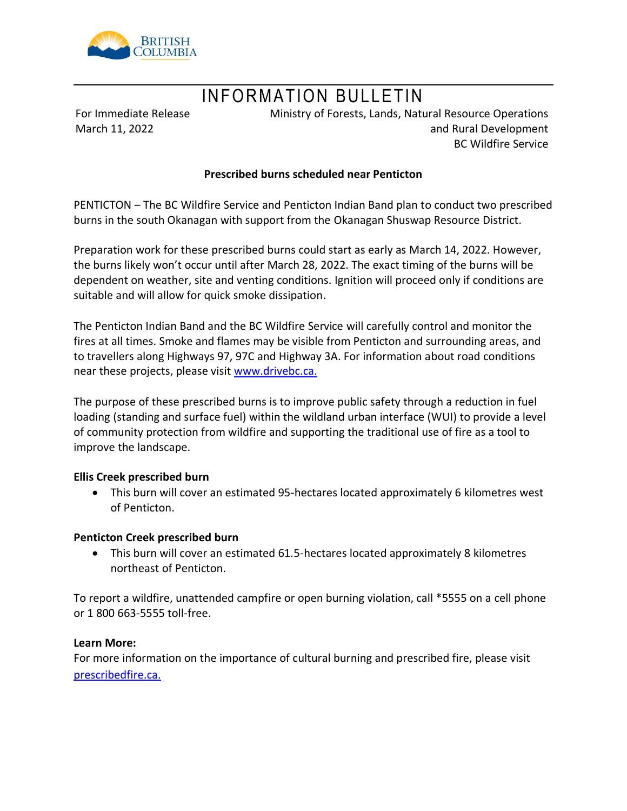

# INFORMATION BULLETIN

For Immediate Release March 11, 2022

Ministry of Forests, Lands, Natural Resource Operations and Rural Development BC Wildfire Service

## **Prescribed burns scheduled near Penticton**

PENTICTON – The BC Wildfire Service and Penticton Indian Band plan to conduct two prescribed burns in the south Okanagan with support from the Okanagan Shuswap Resource District.

Preparation work for these prescribed burns could start as early as March 14, 2022. However, the burns likely won't occur until after March 28, 2022. The exact timing of the burns will be dependent on weather, site and venting conditions. Ignition will proceed only if conditions are suitable and will allow for quick smoke dissipation.

The Penticton Indian Band and the BC Wildfire Service will carefully control and monitor the fires at all times. Smoke and flames may be visible from Penticton and surrounding areas, and to travellers along Highways 97, 97C and Highway 3A. For information about road conditions near these projects, please visit [www.drivebc.ca.](http://www.drivebc.ca/)

The purpose of these prescribed burns is to improve public safety through a reduction in fuel loading (standing and surface fuel) within the wildland urban interface (WUI) to provide a level of community protection from wildfire and supporting the traditional use of fire as a tool to improve the landscape.

### **Ellis Creek prescribed burn**

• This burn will cover an estimated 95-hectares located approximately 6 kilometres west of Penticton.

### **Penticton Creek prescribed burn**

• This burn will cover an estimated 61.5-hectares located approximately 8 kilometres northeast of Penticton.

To report a wildfire, unattended campfire or open burning violation, call \*5555 on a cell phone or 1 800 663-5555 toll-free.

### **Learn More:**

For more information on the importance of cultural burning and prescribed fire, please visit [prescribedfire.ca.](https://prescribedfire.ca/)